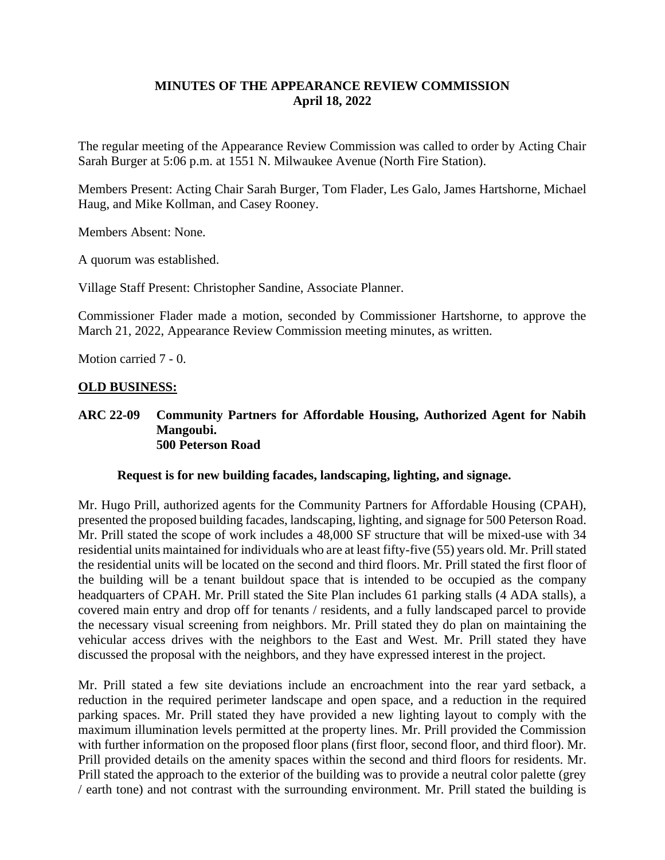# **MINUTES OF THE APPEARANCE REVIEW COMMISSION April 18, 2022**

The regular meeting of the Appearance Review Commission was called to order by Acting Chair Sarah Burger at 5:06 p.m. at 1551 N. Milwaukee Avenue (North Fire Station).

Members Present: Acting Chair Sarah Burger, Tom Flader, Les Galo, James Hartshorne, Michael Haug, and Mike Kollman, and Casey Rooney.

Members Absent: None.

A quorum was established.

Village Staff Present: Christopher Sandine, Associate Planner.

Commissioner Flader made a motion, seconded by Commissioner Hartshorne, to approve the March 21, 2022, Appearance Review Commission meeting minutes, as written.

Motion carried 7 - 0.

#### **OLD BUSINESS:**

#### **ARC 22-09 Community Partners for Affordable Housing, Authorized Agent for Nabih Mangoubi. 500 Peterson Road**

#### **Request is for new building facades, landscaping, lighting, and signage.**

Mr. Hugo Prill, authorized agents for the Community Partners for Affordable Housing (CPAH), presented the proposed building facades, landscaping, lighting, and signage for 500 Peterson Road. Mr. Prill stated the scope of work includes a 48,000 SF structure that will be mixed-use with 34 residential units maintained for individuals who are at least fifty-five (55) years old. Mr. Prill stated the residential units will be located on the second and third floors. Mr. Prill stated the first floor of the building will be a tenant buildout space that is intended to be occupied as the company headquarters of CPAH. Mr. Prill stated the Site Plan includes 61 parking stalls (4 ADA stalls), a covered main entry and drop off for tenants / residents, and a fully landscaped parcel to provide the necessary visual screening from neighbors. Mr. Prill stated they do plan on maintaining the vehicular access drives with the neighbors to the East and West. Mr. Prill stated they have discussed the proposal with the neighbors, and they have expressed interest in the project.

Mr. Prill stated a few site deviations include an encroachment into the rear yard setback, a reduction in the required perimeter landscape and open space, and a reduction in the required parking spaces. Mr. Prill stated they have provided a new lighting layout to comply with the maximum illumination levels permitted at the property lines. Mr. Prill provided the Commission with further information on the proposed floor plans (first floor, second floor, and third floor). Mr. Prill provided details on the amenity spaces within the second and third floors for residents. Mr. Prill stated the approach to the exterior of the building was to provide a neutral color palette (grey / earth tone) and not contrast with the surrounding environment. Mr. Prill stated the building is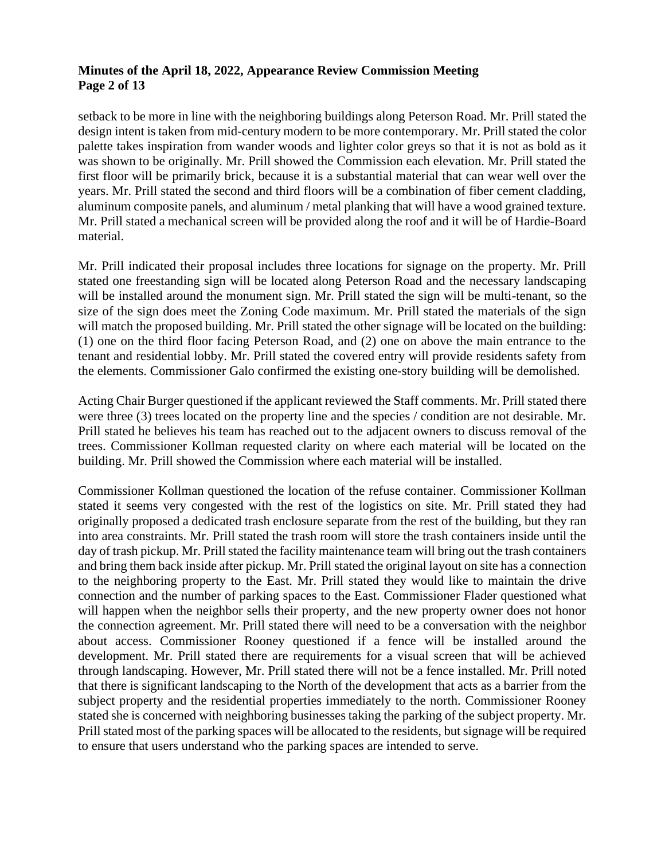## **Minutes of the April 18, 2022, Appearance Review Commission Meeting Page 2 of 13**

setback to be more in line with the neighboring buildings along Peterson Road. Mr. Prill stated the design intent is taken from mid-century modern to be more contemporary. Mr. Prill stated the color palette takes inspiration from wander woods and lighter color greys so that it is not as bold as it was shown to be originally. Mr. Prill showed the Commission each elevation. Mr. Prill stated the first floor will be primarily brick, because it is a substantial material that can wear well over the years. Mr. Prill stated the second and third floors will be a combination of fiber cement cladding, aluminum composite panels, and aluminum / metal planking that will have a wood grained texture. Mr. Prill stated a mechanical screen will be provided along the roof and it will be of Hardie-Board material.

Mr. Prill indicated their proposal includes three locations for signage on the property. Mr. Prill stated one freestanding sign will be located along Peterson Road and the necessary landscaping will be installed around the monument sign. Mr. Prill stated the sign will be multi-tenant, so the size of the sign does meet the Zoning Code maximum. Mr. Prill stated the materials of the sign will match the proposed building. Mr. Prill stated the other signage will be located on the building: (1) one on the third floor facing Peterson Road, and (2) one on above the main entrance to the tenant and residential lobby. Mr. Prill stated the covered entry will provide residents safety from the elements. Commissioner Galo confirmed the existing one-story building will be demolished.

Acting Chair Burger questioned if the applicant reviewed the Staff comments. Mr. Prill stated there were three (3) trees located on the property line and the species / condition are not desirable. Mr. Prill stated he believes his team has reached out to the adjacent owners to discuss removal of the trees. Commissioner Kollman requested clarity on where each material will be located on the building. Mr. Prill showed the Commission where each material will be installed.

Commissioner Kollman questioned the location of the refuse container. Commissioner Kollman stated it seems very congested with the rest of the logistics on site. Mr. Prill stated they had originally proposed a dedicated trash enclosure separate from the rest of the building, but they ran into area constraints. Mr. Prill stated the trash room will store the trash containers inside until the day of trash pickup. Mr. Prill stated the facility maintenance team will bring out the trash containers and bring them back inside after pickup. Mr. Prill stated the original layout on site has a connection to the neighboring property to the East. Mr. Prill stated they would like to maintain the drive connection and the number of parking spaces to the East. Commissioner Flader questioned what will happen when the neighbor sells their property, and the new property owner does not honor the connection agreement. Mr. Prill stated there will need to be a conversation with the neighbor about access. Commissioner Rooney questioned if a fence will be installed around the development. Mr. Prill stated there are requirements for a visual screen that will be achieved through landscaping. However, Mr. Prill stated there will not be a fence installed. Mr. Prill noted that there is significant landscaping to the North of the development that acts as a barrier from the subject property and the residential properties immediately to the north. Commissioner Rooney stated she is concerned with neighboring businesses taking the parking of the subject property. Mr. Prill stated most of the parking spaces will be allocated to the residents, but signage will be required to ensure that users understand who the parking spaces are intended to serve.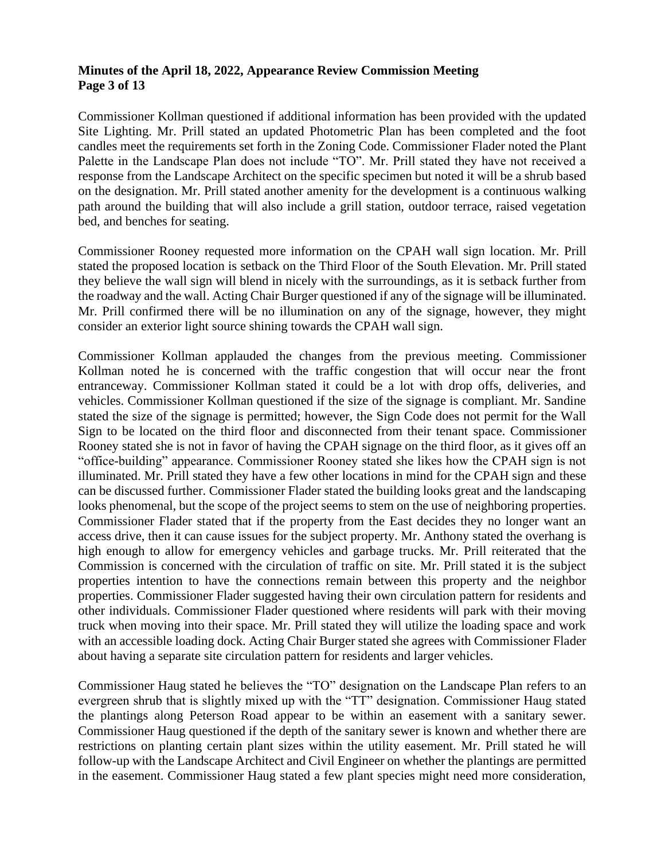### **Minutes of the April 18, 2022, Appearance Review Commission Meeting Page 3 of 13**

Commissioner Kollman questioned if additional information has been provided with the updated Site Lighting. Mr. Prill stated an updated Photometric Plan has been completed and the foot candles meet the requirements set forth in the Zoning Code. Commissioner Flader noted the Plant Palette in the Landscape Plan does not include "TO". Mr. Prill stated they have not received a response from the Landscape Architect on the specific specimen but noted it will be a shrub based on the designation. Mr. Prill stated another amenity for the development is a continuous walking path around the building that will also include a grill station, outdoor terrace, raised vegetation bed, and benches for seating.

Commissioner Rooney requested more information on the CPAH wall sign location. Mr. Prill stated the proposed location is setback on the Third Floor of the South Elevation. Mr. Prill stated they believe the wall sign will blend in nicely with the surroundings, as it is setback further from the roadway and the wall. Acting Chair Burger questioned if any of the signage will be illuminated. Mr. Prill confirmed there will be no illumination on any of the signage, however, they might consider an exterior light source shining towards the CPAH wall sign.

Commissioner Kollman applauded the changes from the previous meeting. Commissioner Kollman noted he is concerned with the traffic congestion that will occur near the front entranceway. Commissioner Kollman stated it could be a lot with drop offs, deliveries, and vehicles. Commissioner Kollman questioned if the size of the signage is compliant. Mr. Sandine stated the size of the signage is permitted; however, the Sign Code does not permit for the Wall Sign to be located on the third floor and disconnected from their tenant space. Commissioner Rooney stated she is not in favor of having the CPAH signage on the third floor, as it gives off an "office-building" appearance. Commissioner Rooney stated she likes how the CPAH sign is not illuminated. Mr. Prill stated they have a few other locations in mind for the CPAH sign and these can be discussed further. Commissioner Flader stated the building looks great and the landscaping looks phenomenal, but the scope of the project seems to stem on the use of neighboring properties. Commissioner Flader stated that if the property from the East decides they no longer want an access drive, then it can cause issues for the subject property. Mr. Anthony stated the overhang is high enough to allow for emergency vehicles and garbage trucks. Mr. Prill reiterated that the Commission is concerned with the circulation of traffic on site. Mr. Prill stated it is the subject properties intention to have the connections remain between this property and the neighbor properties. Commissioner Flader suggested having their own circulation pattern for residents and other individuals. Commissioner Flader questioned where residents will park with their moving truck when moving into their space. Mr. Prill stated they will utilize the loading space and work with an accessible loading dock. Acting Chair Burger stated she agrees with Commissioner Flader about having a separate site circulation pattern for residents and larger vehicles.

Commissioner Haug stated he believes the "TO" designation on the Landscape Plan refers to an evergreen shrub that is slightly mixed up with the "TT" designation. Commissioner Haug stated the plantings along Peterson Road appear to be within an easement with a sanitary sewer. Commissioner Haug questioned if the depth of the sanitary sewer is known and whether there are restrictions on planting certain plant sizes within the utility easement. Mr. Prill stated he will follow-up with the Landscape Architect and Civil Engineer on whether the plantings are permitted in the easement. Commissioner Haug stated a few plant species might need more consideration,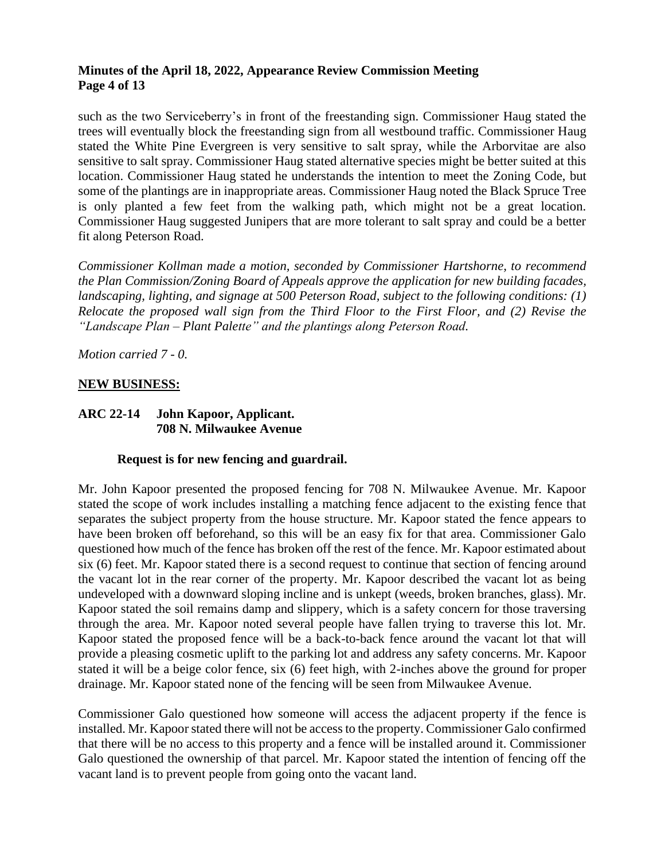## **Minutes of the April 18, 2022, Appearance Review Commission Meeting Page 4 of 13**

such as the two Serviceberry's in front of the freestanding sign. Commissioner Haug stated the trees will eventually block the freestanding sign from all westbound traffic. Commissioner Haug stated the White Pine Evergreen is very sensitive to salt spray, while the Arborvitae are also sensitive to salt spray. Commissioner Haug stated alternative species might be better suited at this location. Commissioner Haug stated he understands the intention to meet the Zoning Code, but some of the plantings are in inappropriate areas. Commissioner Haug noted the Black Spruce Tree is only planted a few feet from the walking path, which might not be a great location. Commissioner Haug suggested Junipers that are more tolerant to salt spray and could be a better fit along Peterson Road.

*Commissioner Kollman made a motion, seconded by Commissioner Hartshorne, to recommend the Plan Commission/Zoning Board of Appeals approve the application for new building facades, landscaping, lighting, and signage at 500 Peterson Road, subject to the following conditions: (1) Relocate the proposed wall sign from the Third Floor to the First Floor, and (2) Revise the "Landscape Plan – Plant Palette" and the plantings along Peterson Road.* 

*Motion carried 7 - 0.*

## **NEW BUSINESS:**

### **ARC 22-14 John Kapoor, Applicant. 708 N. Milwaukee Avenue**

#### **Request is for new fencing and guardrail.**

Mr. John Kapoor presented the proposed fencing for 708 N. Milwaukee Avenue. Mr. Kapoor stated the scope of work includes installing a matching fence adjacent to the existing fence that separates the subject property from the house structure. Mr. Kapoor stated the fence appears to have been broken off beforehand, so this will be an easy fix for that area. Commissioner Galo questioned how much of the fence has broken off the rest of the fence. Mr. Kapoor estimated about six (6) feet. Mr. Kapoor stated there is a second request to continue that section of fencing around the vacant lot in the rear corner of the property. Mr. Kapoor described the vacant lot as being undeveloped with a downward sloping incline and is unkept (weeds, broken branches, glass). Mr. Kapoor stated the soil remains damp and slippery, which is a safety concern for those traversing through the area. Mr. Kapoor noted several people have fallen trying to traverse this lot. Mr. Kapoor stated the proposed fence will be a back-to-back fence around the vacant lot that will provide a pleasing cosmetic uplift to the parking lot and address any safety concerns. Mr. Kapoor stated it will be a beige color fence, six (6) feet high, with 2-inches above the ground for proper drainage. Mr. Kapoor stated none of the fencing will be seen from Milwaukee Avenue.

Commissioner Galo questioned how someone will access the adjacent property if the fence is installed. Mr. Kapoor stated there will not be access to the property. Commissioner Galo confirmed that there will be no access to this property and a fence will be installed around it. Commissioner Galo questioned the ownership of that parcel. Mr. Kapoor stated the intention of fencing off the vacant land is to prevent people from going onto the vacant land.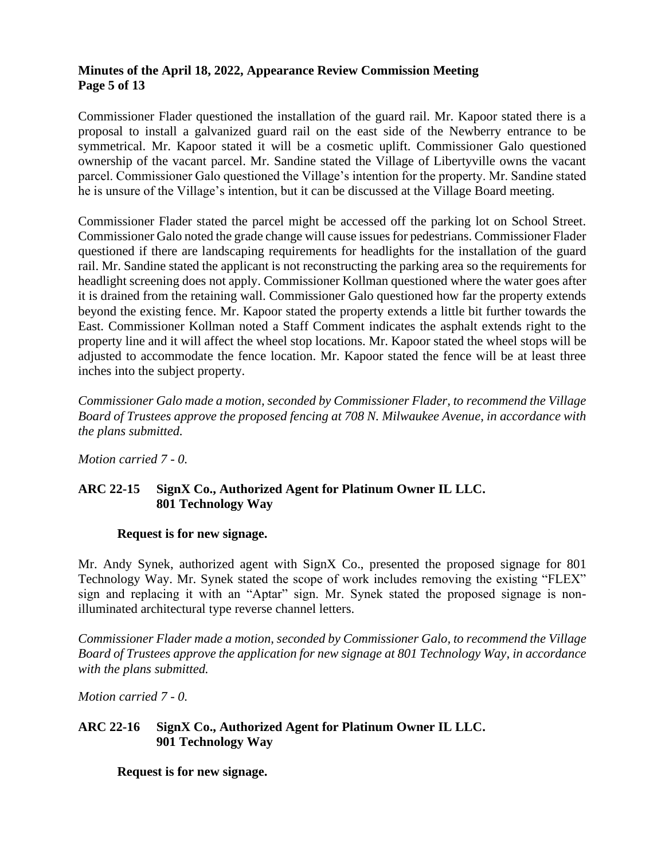## **Minutes of the April 18, 2022, Appearance Review Commission Meeting Page 5 of 13**

Commissioner Flader questioned the installation of the guard rail. Mr. Kapoor stated there is a proposal to install a galvanized guard rail on the east side of the Newberry entrance to be symmetrical. Mr. Kapoor stated it will be a cosmetic uplift. Commissioner Galo questioned ownership of the vacant parcel. Mr. Sandine stated the Village of Libertyville owns the vacant parcel. Commissioner Galo questioned the Village's intention for the property. Mr. Sandine stated he is unsure of the Village's intention, but it can be discussed at the Village Board meeting.

Commissioner Flader stated the parcel might be accessed off the parking lot on School Street. Commissioner Galo noted the grade change will cause issues for pedestrians. Commissioner Flader questioned if there are landscaping requirements for headlights for the installation of the guard rail. Mr. Sandine stated the applicant is not reconstructing the parking area so the requirements for headlight screening does not apply. Commissioner Kollman questioned where the water goes after it is drained from the retaining wall. Commissioner Galo questioned how far the property extends beyond the existing fence. Mr. Kapoor stated the property extends a little bit further towards the East. Commissioner Kollman noted a Staff Comment indicates the asphalt extends right to the property line and it will affect the wheel stop locations. Mr. Kapoor stated the wheel stops will be adjusted to accommodate the fence location. Mr. Kapoor stated the fence will be at least three inches into the subject property.

*Commissioner Galo made a motion, seconded by Commissioner Flader, to recommend the Village Board of Trustees approve the proposed fencing at 708 N. Milwaukee Avenue, in accordance with the plans submitted.*

*Motion carried 7 - 0.*

# **ARC 22-15 SignX Co., Authorized Agent for Platinum Owner IL LLC. 801 Technology Way**

# **Request is for new signage.**

Mr. Andy Synek, authorized agent with SignX Co., presented the proposed signage for 801 Technology Way. Mr. Synek stated the scope of work includes removing the existing "FLEX" sign and replacing it with an "Aptar" sign. Mr. Synek stated the proposed signage is nonilluminated architectural type reverse channel letters.

*Commissioner Flader made a motion, seconded by Commissioner Galo, to recommend the Village Board of Trustees approve the application for new signage at 801 Technology Way, in accordance with the plans submitted.*

*Motion carried 7 - 0.*

# **ARC 22-16 SignX Co., Authorized Agent for Platinum Owner IL LLC. 901 Technology Way**

**Request is for new signage.**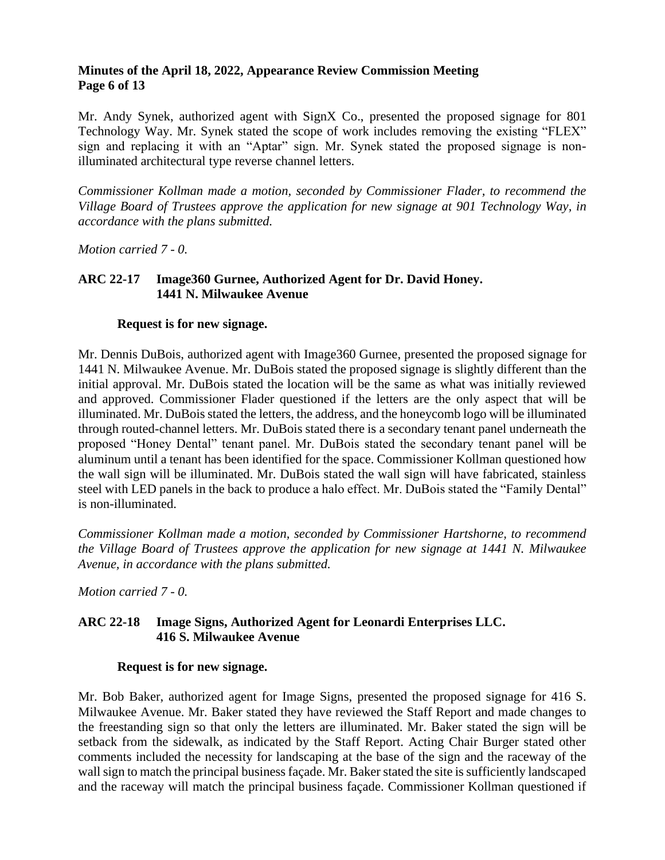### **Minutes of the April 18, 2022, Appearance Review Commission Meeting Page 6 of 13**

Mr. Andy Synek, authorized agent with SignX Co., presented the proposed signage for 801 Technology Way. Mr. Synek stated the scope of work includes removing the existing "FLEX" sign and replacing it with an "Aptar" sign. Mr. Synek stated the proposed signage is nonilluminated architectural type reverse channel letters.

*Commissioner Kollman made a motion, seconded by Commissioner Flader, to recommend the Village Board of Trustees approve the application for new signage at 901 Technology Way, in accordance with the plans submitted.*

*Motion carried 7 - 0.*

## **ARC 22-17 Image360 Gurnee, Authorized Agent for Dr. David Honey. 1441 N. Milwaukee Avenue**

## **Request is for new signage.**

Mr. Dennis DuBois, authorized agent with Image360 Gurnee, presented the proposed signage for 1441 N. Milwaukee Avenue. Mr. DuBois stated the proposed signage is slightly different than the initial approval. Mr. DuBois stated the location will be the same as what was initially reviewed and approved. Commissioner Flader questioned if the letters are the only aspect that will be illuminated. Mr. DuBois stated the letters, the address, and the honeycomb logo will be illuminated through routed-channel letters. Mr. DuBois stated there is a secondary tenant panel underneath the proposed "Honey Dental" tenant panel. Mr. DuBois stated the secondary tenant panel will be aluminum until a tenant has been identified for the space. Commissioner Kollman questioned how the wall sign will be illuminated. Mr. DuBois stated the wall sign will have fabricated, stainless steel with LED panels in the back to produce a halo effect. Mr. DuBois stated the "Family Dental" is non-illuminated.

*Commissioner Kollman made a motion, seconded by Commissioner Hartshorne, to recommend the Village Board of Trustees approve the application for new signage at 1441 N. Milwaukee Avenue, in accordance with the plans submitted.*

*Motion carried 7 - 0.*

# **ARC 22-18 Image Signs, Authorized Agent for Leonardi Enterprises LLC. 416 S. Milwaukee Avenue**

#### **Request is for new signage.**

Mr. Bob Baker, authorized agent for Image Signs, presented the proposed signage for 416 S. Milwaukee Avenue. Mr. Baker stated they have reviewed the Staff Report and made changes to the freestanding sign so that only the letters are illuminated. Mr. Baker stated the sign will be setback from the sidewalk, as indicated by the Staff Report. Acting Chair Burger stated other comments included the necessity for landscaping at the base of the sign and the raceway of the wall sign to match the principal business façade. Mr. Baker stated the site is sufficiently landscaped and the raceway will match the principal business façade. Commissioner Kollman questioned if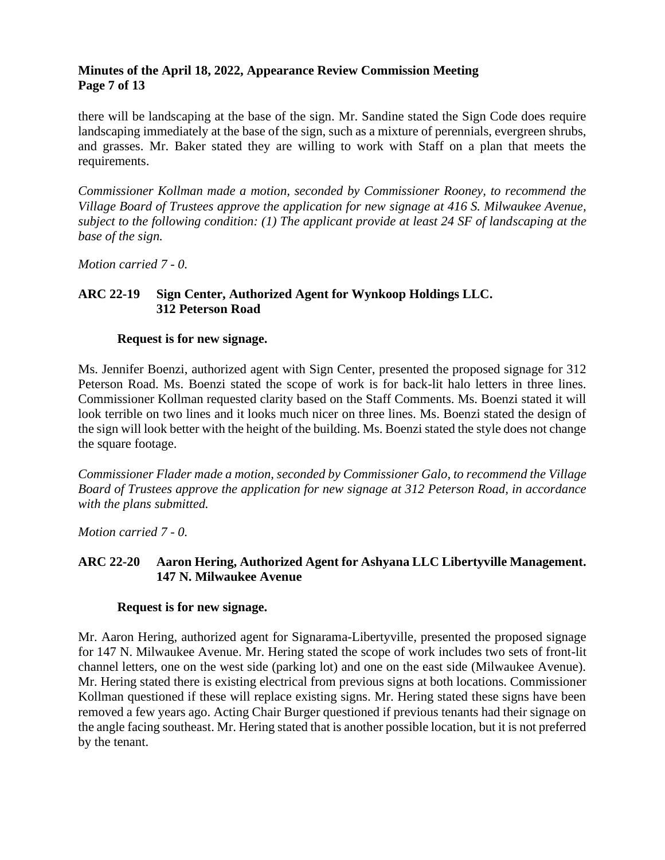## **Minutes of the April 18, 2022, Appearance Review Commission Meeting Page 7 of 13**

there will be landscaping at the base of the sign. Mr. Sandine stated the Sign Code does require landscaping immediately at the base of the sign, such as a mixture of perennials, evergreen shrubs, and grasses. Mr. Baker stated they are willing to work with Staff on a plan that meets the requirements.

*Commissioner Kollman made a motion, seconded by Commissioner Rooney, to recommend the Village Board of Trustees approve the application for new signage at 416 S. Milwaukee Avenue, subject to the following condition: (1) The applicant provide at least 24 SF of landscaping at the base of the sign.* 

*Motion carried 7 - 0.*

# **ARC 22-19 Sign Center, Authorized Agent for Wynkoop Holdings LLC. 312 Peterson Road**

#### **Request is for new signage.**

Ms. Jennifer Boenzi, authorized agent with Sign Center, presented the proposed signage for 312 Peterson Road. Ms. Boenzi stated the scope of work is for back-lit halo letters in three lines. Commissioner Kollman requested clarity based on the Staff Comments. Ms. Boenzi stated it will look terrible on two lines and it looks much nicer on three lines. Ms. Boenzi stated the design of the sign will look better with the height of the building. Ms. Boenzi stated the style does not change the square footage.

*Commissioner Flader made a motion, seconded by Commissioner Galo, to recommend the Village Board of Trustees approve the application for new signage at 312 Peterson Road, in accordance with the plans submitted.*

*Motion carried 7 - 0.*

# **ARC 22-20 Aaron Hering, Authorized Agent for Ashyana LLC Libertyville Management. 147 N. Milwaukee Avenue**

#### **Request is for new signage.**

Mr. Aaron Hering, authorized agent for Signarama-Libertyville, presented the proposed signage for 147 N. Milwaukee Avenue. Mr. Hering stated the scope of work includes two sets of front-lit channel letters, one on the west side (parking lot) and one on the east side (Milwaukee Avenue). Mr. Hering stated there is existing electrical from previous signs at both locations. Commissioner Kollman questioned if these will replace existing signs. Mr. Hering stated these signs have been removed a few years ago. Acting Chair Burger questioned if previous tenants had their signage on the angle facing southeast. Mr. Hering stated that is another possible location, but it is not preferred by the tenant.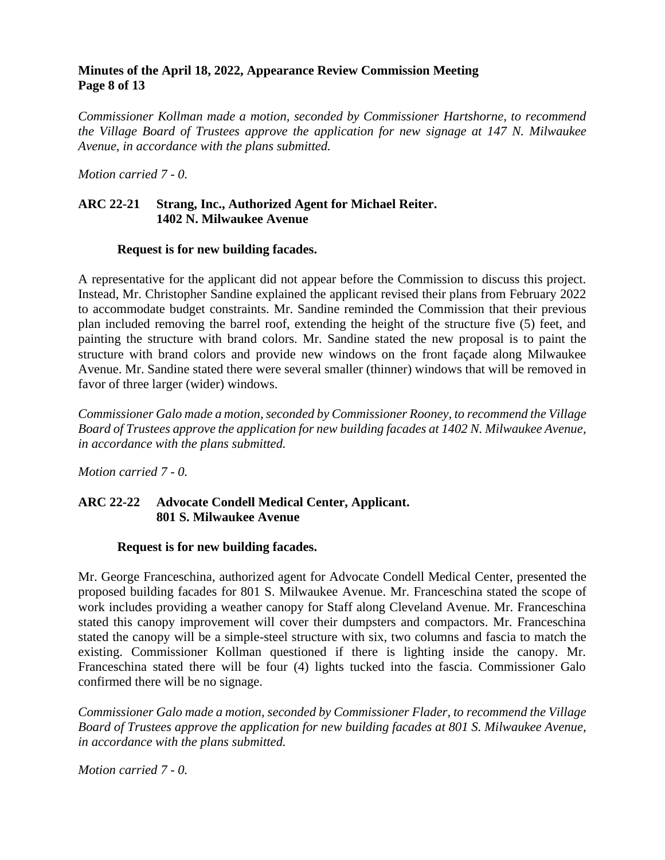### **Minutes of the April 18, 2022, Appearance Review Commission Meeting Page 8 of 13**

*Commissioner Kollman made a motion, seconded by Commissioner Hartshorne, to recommend the Village Board of Trustees approve the application for new signage at 147 N. Milwaukee Avenue, in accordance with the plans submitted.* 

*Motion carried 7 - 0.*

### **ARC 22-21 Strang, Inc., Authorized Agent for Michael Reiter. 1402 N. Milwaukee Avenue**

#### **Request is for new building facades.**

A representative for the applicant did not appear before the Commission to discuss this project. Instead, Mr. Christopher Sandine explained the applicant revised their plans from February 2022 to accommodate budget constraints. Mr. Sandine reminded the Commission that their previous plan included removing the barrel roof, extending the height of the structure five (5) feet, and painting the structure with brand colors. Mr. Sandine stated the new proposal is to paint the structure with brand colors and provide new windows on the front façade along Milwaukee Avenue. Mr. Sandine stated there were several smaller (thinner) windows that will be removed in favor of three larger (wider) windows.

*Commissioner Galo made a motion, seconded by Commissioner Rooney, to recommend the Village Board of Trustees approve the application for new building facades at 1402 N. Milwaukee Avenue, in accordance with the plans submitted.*

*Motion carried 7 - 0.*

## **ARC 22-22 Advocate Condell Medical Center, Applicant. 801 S. Milwaukee Avenue**

#### **Request is for new building facades.**

Mr. George Franceschina, authorized agent for Advocate Condell Medical Center, presented the proposed building facades for 801 S. Milwaukee Avenue. Mr. Franceschina stated the scope of work includes providing a weather canopy for Staff along Cleveland Avenue. Mr. Franceschina stated this canopy improvement will cover their dumpsters and compactors. Mr. Franceschina stated the canopy will be a simple-steel structure with six, two columns and fascia to match the existing. Commissioner Kollman questioned if there is lighting inside the canopy. Mr. Franceschina stated there will be four (4) lights tucked into the fascia. Commissioner Galo confirmed there will be no signage.

*Commissioner Galo made a motion, seconded by Commissioner Flader, to recommend the Village Board of Trustees approve the application for new building facades at 801 S. Milwaukee Avenue, in accordance with the plans submitted.* 

*Motion carried 7 - 0.*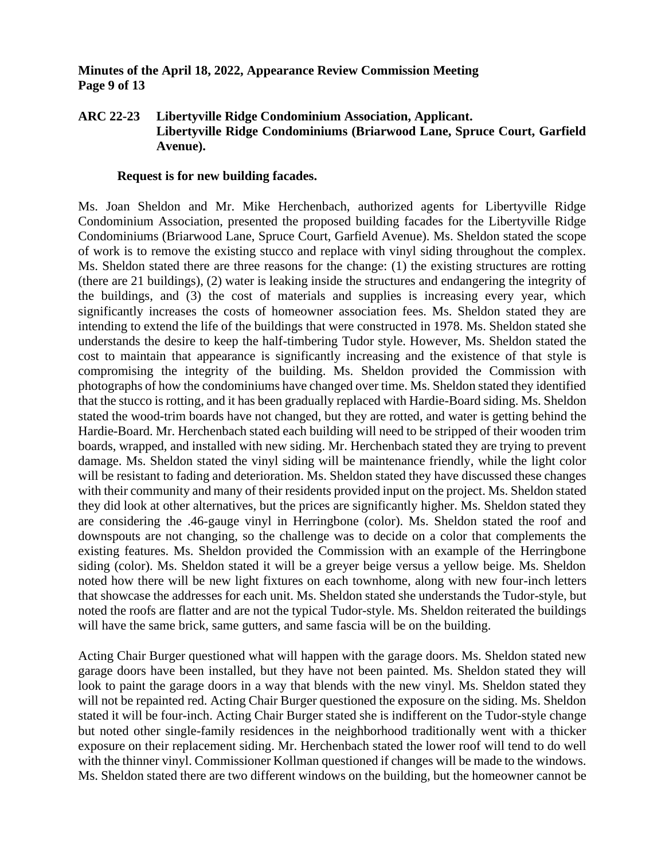### **Minutes of the April 18, 2022, Appearance Review Commission Meeting Page 9 of 13**

### **ARC 22-23 Libertyville Ridge Condominium Association, Applicant. Libertyville Ridge Condominiums (Briarwood Lane, Spruce Court, Garfield Avenue).**

#### **Request is for new building facades.**

Ms. Joan Sheldon and Mr. Mike Herchenbach, authorized agents for Libertyville Ridge Condominium Association, presented the proposed building facades for the Libertyville Ridge Condominiums (Briarwood Lane, Spruce Court, Garfield Avenue). Ms. Sheldon stated the scope of work is to remove the existing stucco and replace with vinyl siding throughout the complex. Ms. Sheldon stated there are three reasons for the change: (1) the existing structures are rotting (there are 21 buildings), (2) water is leaking inside the structures and endangering the integrity of the buildings, and (3) the cost of materials and supplies is increasing every year, which significantly increases the costs of homeowner association fees. Ms. Sheldon stated they are intending to extend the life of the buildings that were constructed in 1978. Ms. Sheldon stated she understands the desire to keep the half-timbering Tudor style. However, Ms. Sheldon stated the cost to maintain that appearance is significantly increasing and the existence of that style is compromising the integrity of the building. Ms. Sheldon provided the Commission with photographs of how the condominiums have changed over time. Ms. Sheldon stated they identified that the stucco is rotting, and it has been gradually replaced with Hardie-Board siding. Ms. Sheldon stated the wood-trim boards have not changed, but they are rotted, and water is getting behind the Hardie-Board. Mr. Herchenbach stated each building will need to be stripped of their wooden trim boards, wrapped, and installed with new siding. Mr. Herchenbach stated they are trying to prevent damage. Ms. Sheldon stated the vinyl siding will be maintenance friendly, while the light color will be resistant to fading and deterioration. Ms. Sheldon stated they have discussed these changes with their community and many of their residents provided input on the project. Ms. Sheldon stated they did look at other alternatives, but the prices are significantly higher. Ms. Sheldon stated they are considering the .46-gauge vinyl in Herringbone (color). Ms. Sheldon stated the roof and downspouts are not changing, so the challenge was to decide on a color that complements the existing features. Ms. Sheldon provided the Commission with an example of the Herringbone siding (color). Ms. Sheldon stated it will be a greyer beige versus a yellow beige. Ms. Sheldon noted how there will be new light fixtures on each townhome, along with new four-inch letters that showcase the addresses for each unit. Ms. Sheldon stated she understands the Tudor-style, but noted the roofs are flatter and are not the typical Tudor-style. Ms. Sheldon reiterated the buildings will have the same brick, same gutters, and same fascia will be on the building.

Acting Chair Burger questioned what will happen with the garage doors. Ms. Sheldon stated new garage doors have been installed, but they have not been painted. Ms. Sheldon stated they will look to paint the garage doors in a way that blends with the new vinyl. Ms. Sheldon stated they will not be repainted red. Acting Chair Burger questioned the exposure on the siding. Ms. Sheldon stated it will be four-inch. Acting Chair Burger stated she is indifferent on the Tudor-style change but noted other single-family residences in the neighborhood traditionally went with a thicker exposure on their replacement siding. Mr. Herchenbach stated the lower roof will tend to do well with the thinner vinyl. Commissioner Kollman questioned if changes will be made to the windows. Ms. Sheldon stated there are two different windows on the building, but the homeowner cannot be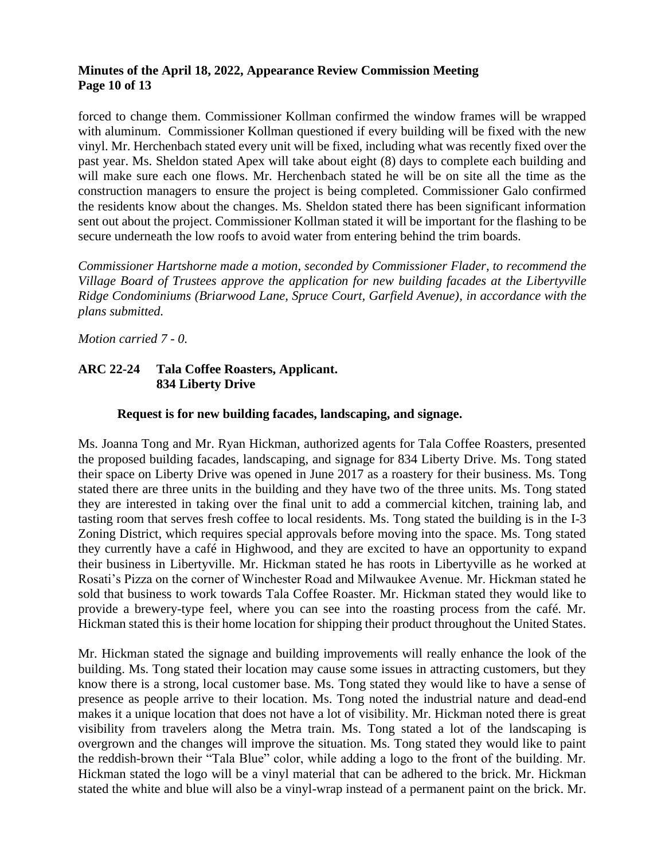## **Minutes of the April 18, 2022, Appearance Review Commission Meeting Page 10 of 13**

forced to change them. Commissioner Kollman confirmed the window frames will be wrapped with aluminum. Commissioner Kollman questioned if every building will be fixed with the new vinyl. Mr. Herchenbach stated every unit will be fixed, including what was recently fixed over the past year. Ms. Sheldon stated Apex will take about eight (8) days to complete each building and will make sure each one flows. Mr. Herchenbach stated he will be on site all the time as the construction managers to ensure the project is being completed. Commissioner Galo confirmed the residents know about the changes. Ms. Sheldon stated there has been significant information sent out about the project. Commissioner Kollman stated it will be important for the flashing to be secure underneath the low roofs to avoid water from entering behind the trim boards.

*Commissioner Hartshorne made a motion, seconded by Commissioner Flader, to recommend the Village Board of Trustees approve the application for new building facades at the Libertyville Ridge Condominiums (Briarwood Lane, Spruce Court, Garfield Avenue), in accordance with the plans submitted.*

*Motion carried 7 - 0.*

# **ARC 22-24 Tala Coffee Roasters, Applicant. 834 Liberty Drive**

## **Request is for new building facades, landscaping, and signage.**

Ms. Joanna Tong and Mr. Ryan Hickman, authorized agents for Tala Coffee Roasters, presented the proposed building facades, landscaping, and signage for 834 Liberty Drive. Ms. Tong stated their space on Liberty Drive was opened in June 2017 as a roastery for their business. Ms. Tong stated there are three units in the building and they have two of the three units. Ms. Tong stated they are interested in taking over the final unit to add a commercial kitchen, training lab, and tasting room that serves fresh coffee to local residents. Ms. Tong stated the building is in the I-3 Zoning District, which requires special approvals before moving into the space. Ms. Tong stated they currently have a café in Highwood, and they are excited to have an opportunity to expand their business in Libertyville. Mr. Hickman stated he has roots in Libertyville as he worked at Rosati's Pizza on the corner of Winchester Road and Milwaukee Avenue. Mr. Hickman stated he sold that business to work towards Tala Coffee Roaster. Mr. Hickman stated they would like to provide a brewery-type feel, where you can see into the roasting process from the café. Mr. Hickman stated this is their home location for shipping their product throughout the United States.

Mr. Hickman stated the signage and building improvements will really enhance the look of the building. Ms. Tong stated their location may cause some issues in attracting customers, but they know there is a strong, local customer base. Ms. Tong stated they would like to have a sense of presence as people arrive to their location. Ms. Tong noted the industrial nature and dead-end makes it a unique location that does not have a lot of visibility. Mr. Hickman noted there is great visibility from travelers along the Metra train. Ms. Tong stated a lot of the landscaping is overgrown and the changes will improve the situation. Ms. Tong stated they would like to paint the reddish-brown their "Tala Blue" color, while adding a logo to the front of the building. Mr. Hickman stated the logo will be a vinyl material that can be adhered to the brick. Mr. Hickman stated the white and blue will also be a vinyl-wrap instead of a permanent paint on the brick. Mr.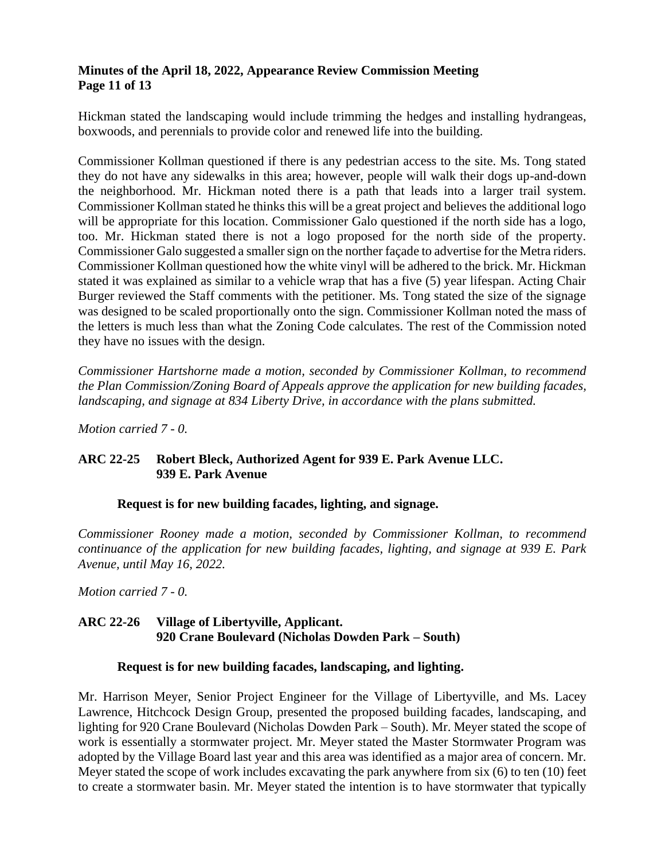## **Minutes of the April 18, 2022, Appearance Review Commission Meeting Page 11 of 13**

Hickman stated the landscaping would include trimming the hedges and installing hydrangeas, boxwoods, and perennials to provide color and renewed life into the building.

Commissioner Kollman questioned if there is any pedestrian access to the site. Ms. Tong stated they do not have any sidewalks in this area; however, people will walk their dogs up-and-down the neighborhood. Mr. Hickman noted there is a path that leads into a larger trail system. Commissioner Kollman stated he thinks this will be a great project and believes the additional logo will be appropriate for this location. Commissioner Galo questioned if the north side has a logo, too. Mr. Hickman stated there is not a logo proposed for the north side of the property. Commissioner Galo suggested a smaller sign on the norther façade to advertise for the Metra riders. Commissioner Kollman questioned how the white vinyl will be adhered to the brick. Mr. Hickman stated it was explained as similar to a vehicle wrap that has a five (5) year lifespan. Acting Chair Burger reviewed the Staff comments with the petitioner. Ms. Tong stated the size of the signage was designed to be scaled proportionally onto the sign. Commissioner Kollman noted the mass of the letters is much less than what the Zoning Code calculates. The rest of the Commission noted they have no issues with the design.

*Commissioner Hartshorne made a motion, seconded by Commissioner Kollman, to recommend the Plan Commission/Zoning Board of Appeals approve the application for new building facades, landscaping, and signage at 834 Liberty Drive, in accordance with the plans submitted.* 

*Motion carried 7 - 0.*

# **ARC 22-25 Robert Bleck, Authorized Agent for 939 E. Park Avenue LLC. 939 E. Park Avenue**

#### **Request is for new building facades, lighting, and signage.**

*Commissioner Rooney made a motion, seconded by Commissioner Kollman, to recommend continuance of the application for new building facades, lighting, and signage at 939 E. Park Avenue, until May 16, 2022.* 

*Motion carried 7 - 0.*

# **ARC 22-26 Village of Libertyville, Applicant. 920 Crane Boulevard (Nicholas Dowden Park – South)**

#### **Request is for new building facades, landscaping, and lighting.**

Mr. Harrison Meyer, Senior Project Engineer for the Village of Libertyville, and Ms. Lacey Lawrence, Hitchcock Design Group, presented the proposed building facades, landscaping, and lighting for 920 Crane Boulevard (Nicholas Dowden Park – South). Mr. Meyer stated the scope of work is essentially a stormwater project. Mr. Meyer stated the Master Stormwater Program was adopted by the Village Board last year and this area was identified as a major area of concern. Mr. Meyer stated the scope of work includes excavating the park anywhere from six (6) to ten (10) feet to create a stormwater basin. Mr. Meyer stated the intention is to have stormwater that typically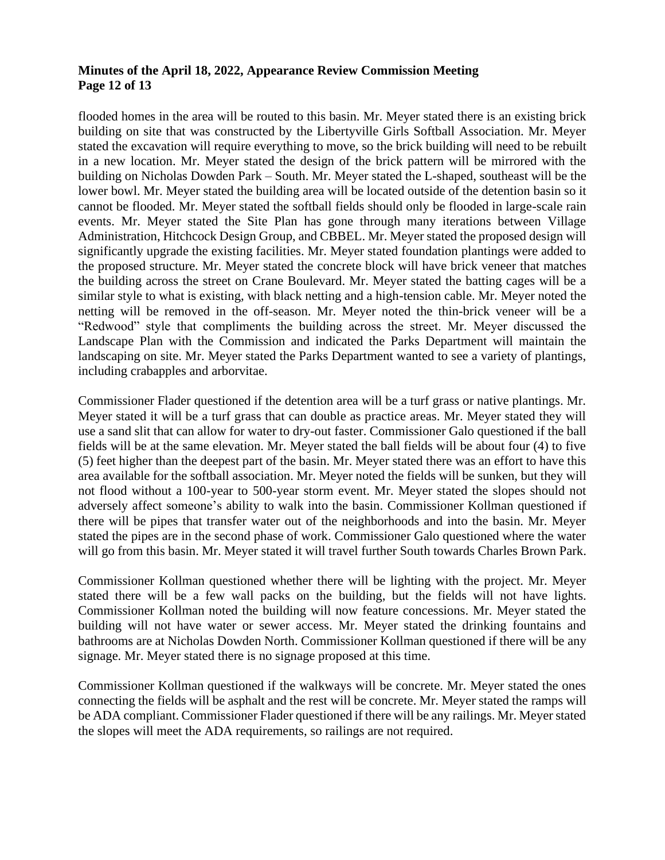### **Minutes of the April 18, 2022, Appearance Review Commission Meeting Page 12 of 13**

flooded homes in the area will be routed to this basin. Mr. Meyer stated there is an existing brick building on site that was constructed by the Libertyville Girls Softball Association. Mr. Meyer stated the excavation will require everything to move, so the brick building will need to be rebuilt in a new location. Mr. Meyer stated the design of the brick pattern will be mirrored with the building on Nicholas Dowden Park – South. Mr. Meyer stated the L-shaped, southeast will be the lower bowl. Mr. Meyer stated the building area will be located outside of the detention basin so it cannot be flooded. Mr. Meyer stated the softball fields should only be flooded in large-scale rain events. Mr. Meyer stated the Site Plan has gone through many iterations between Village Administration, Hitchcock Design Group, and CBBEL. Mr. Meyer stated the proposed design will significantly upgrade the existing facilities. Mr. Meyer stated foundation plantings were added to the proposed structure. Mr. Meyer stated the concrete block will have brick veneer that matches the building across the street on Crane Boulevard. Mr. Meyer stated the batting cages will be a similar style to what is existing, with black netting and a high-tension cable. Mr. Meyer noted the netting will be removed in the off-season. Mr. Meyer noted the thin-brick veneer will be a "Redwood" style that compliments the building across the street. Mr. Meyer discussed the Landscape Plan with the Commission and indicated the Parks Department will maintain the landscaping on site. Mr. Meyer stated the Parks Department wanted to see a variety of plantings, including crabapples and arborvitae.

Commissioner Flader questioned if the detention area will be a turf grass or native plantings. Mr. Meyer stated it will be a turf grass that can double as practice areas. Mr. Meyer stated they will use a sand slit that can allow for water to dry-out faster. Commissioner Galo questioned if the ball fields will be at the same elevation. Mr. Meyer stated the ball fields will be about four (4) to five (5) feet higher than the deepest part of the basin. Mr. Meyer stated there was an effort to have this area available for the softball association. Mr. Meyer noted the fields will be sunken, but they will not flood without a 100-year to 500-year storm event. Mr. Meyer stated the slopes should not adversely affect someone's ability to walk into the basin. Commissioner Kollman questioned if there will be pipes that transfer water out of the neighborhoods and into the basin. Mr. Meyer stated the pipes are in the second phase of work. Commissioner Galo questioned where the water will go from this basin. Mr. Meyer stated it will travel further South towards Charles Brown Park.

Commissioner Kollman questioned whether there will be lighting with the project. Mr. Meyer stated there will be a few wall packs on the building, but the fields will not have lights. Commissioner Kollman noted the building will now feature concessions. Mr. Meyer stated the building will not have water or sewer access. Mr. Meyer stated the drinking fountains and bathrooms are at Nicholas Dowden North. Commissioner Kollman questioned if there will be any signage. Mr. Meyer stated there is no signage proposed at this time.

Commissioner Kollman questioned if the walkways will be concrete. Mr. Meyer stated the ones connecting the fields will be asphalt and the rest will be concrete. Mr. Meyer stated the ramps will be ADA compliant. Commissioner Flader questioned if there will be any railings. Mr. Meyer stated the slopes will meet the ADA requirements, so railings are not required.